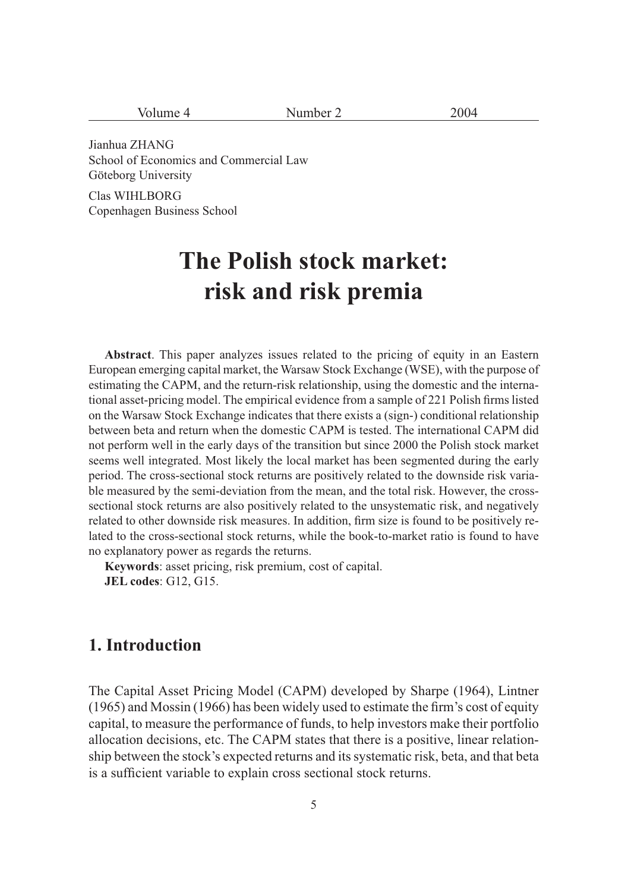| $\frac{1}{2}$<br><b>.</b><br>$\ddotsc$ | $-1$ |
|----------------------------------------|------|
|----------------------------------------|------|

Jianhua ZHANG School of Economics and Commercial Law Göteborg University

Clas WIHLBORG Copenhagen Business School

# **The Polish stock market: risk and risk premia**

**Abstract**. This paper analyzes issues related to the pricing of equity in an Eastern European emerging capital market, the Warsaw Stock Exchange (WSE), with the purpose of estimating the CAPM, and the return-risk relationship, using the domestic and the international asset-pricing model. The empirical evidence from a sample of 221 Polish firms listed on the Warsaw Stock Exchange indicates that there exists a (sign-) conditional relationship between beta and return when the domestic CAPM is tested. The international CAPM did not perform well in the early days of the transition but since 2000 the Polish stock market seems well integrated. Most likely the local market has been segmented during the early period. The cross-sectional stock returns are positively related to the downside risk variable measured by the semi-deviation from the mean, and the total risk. However, the crosssectional stock returns are also positively related to the unsystematic risk, and negatively related to other downside risk measures. In addition, firm size is found to be positively related to the cross-sectional stock returns, while the book-to-market ratio is found to have no explanatory power as regards the returns.

**Keywords**: asset pricing, risk premium, cost of capital. **JEL codes**: G12, G15.

## **1. Introduction**

The Capital Asset Pricing Model (CAPM) developed by Sharpe (1964), Lintner (1965) and Mossin (1966) has been widely used to estimate the firm's cost of equity capital, to measure the performance of funds, to help investors make their portfolio allocation decisions, etc. The CAPM states that there is a positive, linear relationship between the stock's expected returns and its systematic risk, beta, and that beta is a sufficient variable to explain cross sectional stock returns.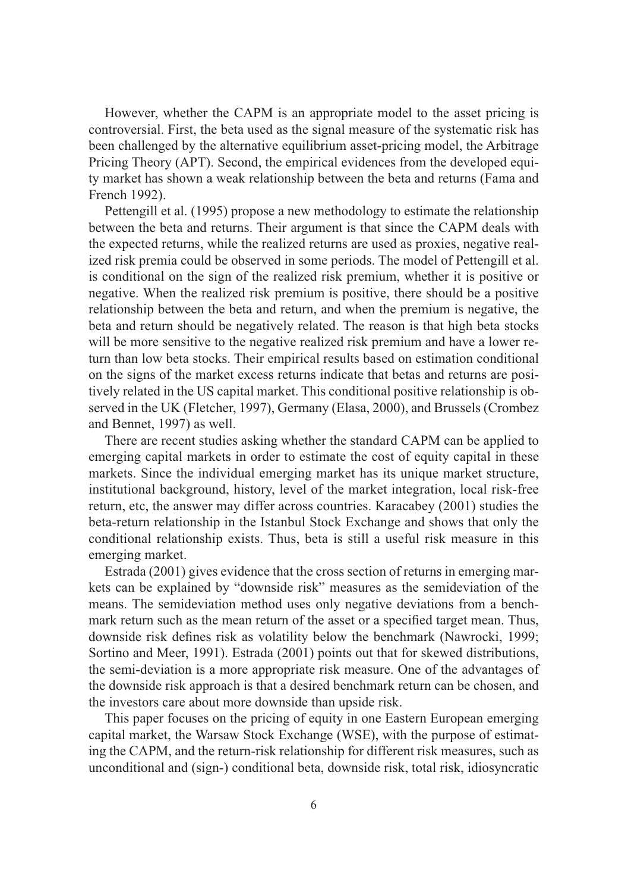However, whether the CAPM is an appropriate model to the asset pricing is controversial. First, the beta used as the signal measure of the systematic risk has been challenged by the alternative equilibrium asset-pricing model, the Arbitrage Pricing Theory (APT). Second, the empirical evidences from the developed equity market has shown a weak relationship between the beta and returns (Fama and French 1992).

Pettengill et al. (1995) propose a new methodology to estimate the relationship between the beta and returns. Their argument is that since the CAPM deals with the expected returns, while the realized returns are used as proxies, negative realized risk premia could be observed in some periods. The model of Pettengill et al. is conditional on the sign of the realized risk premium, whether it is positive or negative. When the realized risk premium is positive, there should be a positive relationship between the beta and return, and when the premium is negative, the beta and return should be negatively related. The reason is that high beta stocks will be more sensitive to the negative realized risk premium and have a lower return than low beta stocks. Their empirical results based on estimation conditional on the signs of the market excess returns indicate that betas and returns are positively related in the US capital market. This conditional positive relationship is observed in the UK (Fletcher, 1997), Germany (Elasa, 2000), and Brussels (Crombez and Bennet, 1997) as well.

There are recent studies asking whether the standard CAPM can be applied to emerging capital markets in order to estimate the cost of equity capital in these markets. Since the individual emerging market has its unique market structure, institutional background, history, level of the market integration, local risk-free return, etc, the answer may differ across countries. Karacabey (2001) studies the beta-return relationship in the Istanbul Stock Exchange and shows that only the conditional relationship exists. Thus, beta is still a useful risk measure in this emerging market.

Estrada (2001) gives evidence that the cross section of returns in emerging markets can be explained by "downside risk" measures as the semideviation of the means. The semideviation method uses only negative deviations from a benchmark return such as the mean return of the asset or a specified target mean. Thus, downside risk defines risk as volatility below the benchmark (Nawrocki, 1999; Sortino and Meer, 1991). Estrada (2001) points out that for skewed distributions, the semi-deviation is a more appropriate risk measure. One of the advantages of the downside risk approach is that a desired benchmark return can be chosen, and the investors care about more downside than upside risk.

This paper focuses on the pricing of equity in one Eastern European emerging capital market, the Warsaw Stock Exchange (WSE), with the purpose of estimating the CAPM, and the return-risk relationship for different risk measures, such as unconditional and (sign-) conditional beta, downside risk, total risk, idiosyncratic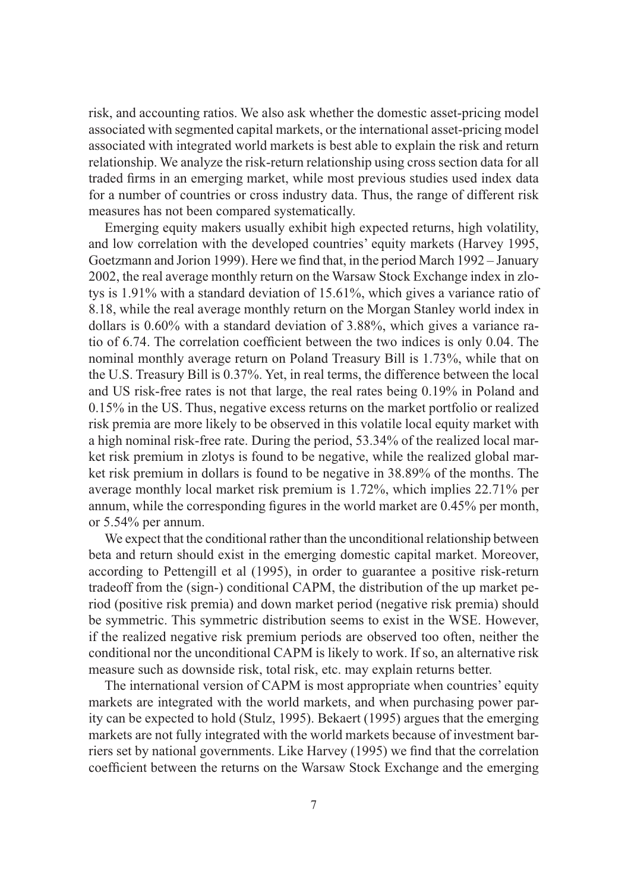risk, and accounting ratios. We also ask whether the domestic asset-pricing model associated with segmented capital markets, or the international asset-pricing model associated with integrated world markets is best able to explain the risk and return relationship. We analyze the risk-return relationship using cross section data for all traded firms in an emerging market, while most previous studies used index data for a number of countries or cross industry data. Thus, the range of different risk measures has not been compared systematically.

Emerging equity makers usually exhibit high expected returns, high volatility, and low correlation with the developed countries' equity markets (Harvey 1995, Goetzmann and Jorion 1999). Here we find that, in the period March 1992 – January 2002, the real average monthly return on the Warsaw Stock Exchange index in zlotys is 1.91% with a standard deviation of 15.61%, which gives a variance ratio of 8.18, while the real average monthly return on the Morgan Stanley world index in dollars is 0.60% with a standard deviation of 3.88%, which gives a variance ratio of 6.74. The correlation coefficient between the two indices is only 0.04. The nominal monthly average return on Poland Treasury Bill is 1.73%, while that on the U.S. Treasury Bill is 0.37%. Yet, in real terms, the difference between the local and US risk-free rates is not that large, the real rates being 0.19% in Poland and 0.15% in the US. Thus, negative excess returns on the market portfolio or realized risk premia are more likely to be observed in this volatile local equity market with a high nominal risk-free rate. During the period, 53.34% of the realized local market risk premium in zlotys is found to be negative, while the realized global market risk premium in dollars is found to be negative in 38.89% of the months. The average monthly local market risk premium is 1.72%, which implies 22.71% per annum, while the corresponding figures in the world market are 0.45% per month, or 5.54% per annum.

We expect that the conditional rather than the unconditional relationship between beta and return should exist in the emerging domestic capital market. Moreover, according to Pettengill et al (1995), in order to guarantee a positive risk-return tradeoff from the (sign-) conditional CAPM, the distribution of the up market period (positive risk premia) and down market period (negative risk premia) should be symmetric. This symmetric distribution seems to exist in the WSE. However, if the realized negative risk premium periods are observed too often, neither the conditional nor the unconditional CAPM is likely to work. If so, an alternative risk measure such as downside risk, total risk, etc. may explain returns better.

The international version of CAPM is most appropriate when countries' equity markets are integrated with the world markets, and when purchasing power parity can be expected to hold (Stulz, 1995). Bekaert (1995) argues that the emerging markets are not fully integrated with the world markets because of investment barriers set by national governments. Like Harvey (1995) we find that the correlation coefficient between the returns on the Warsaw Stock Exchange and the emerging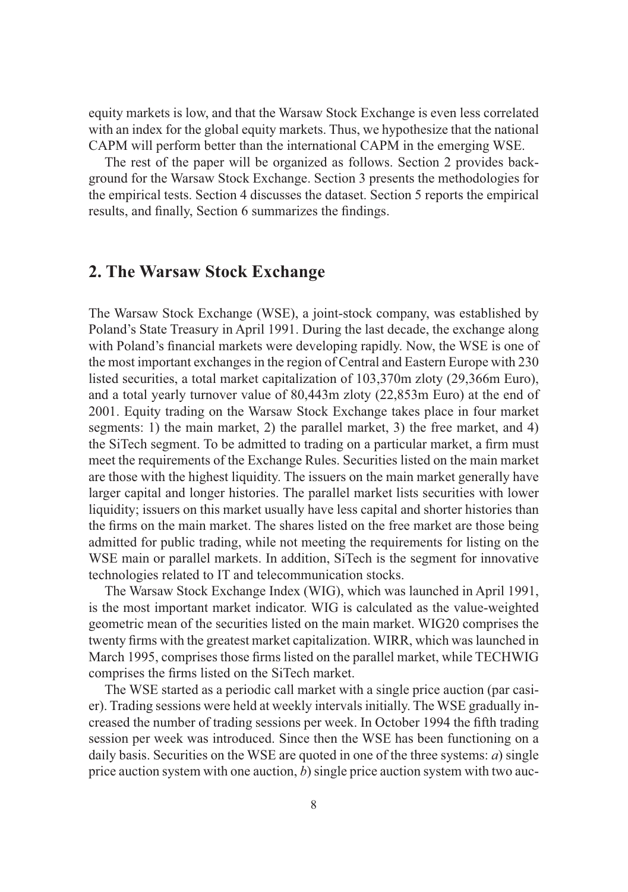equity markets is low, and that the Warsaw Stock Exchange is even less correlated with an index for the global equity markets. Thus, we hypothesize that the national CAPM will perform better than the international CAPM in the emerging WSE.

The rest of the paper will be organized as follows. Section 2 provides background for the Warsaw Stock Exchange. Section 3 presents the methodologies for the empirical tests. Section 4 discusses the dataset. Section 5 reports the empirical results, and finally, Section 6 summarizes the findings.

## **2. The Warsaw Stock Exchange**

The Warsaw Stock Exchange (WSE), a joint-stock company, was established by Poland's State Treasury in April 1991. During the last decade, the exchange along with Poland's financial markets were developing rapidly. Now, the WSE is one of the most important exchanges in the region of Central and Eastern Europe with 230 listed securities, a total market capitalization of 103,370m zloty (29,366m Euro), and a total yearly turnover value of 80,443m zloty (22,853m Euro) at the end of 2001. Equity trading on the Warsaw Stock Exchange takes place in four market segments: 1) the main market, 2) the parallel market, 3) the free market, and 4) the SiTech segment. To be admitted to trading on a particular market, a firm must meet the requirements of the Exchange Rules. Securities listed on the main market are those with the highest liquidity. The issuers on the main market generally have larger capital and longer histories. The parallel market lists securities with lower liquidity; issuers on this market usually have less capital and shorter histories than the firms on the main market. The shares listed on the free market are those being admitted for public trading, while not meeting the requirements for listing on the WSE main or parallel markets. In addition, SiTech is the segment for innovative technologies related to IT and telecommunication stocks.

The Warsaw Stock Exchange Index (WIG), which was launched in April 1991, is the most important market indicator. WIG is calculated as the value-weighted geometric mean of the securities listed on the main market. WIG20 comprises the twenty firms with the greatest market capitalization. WIRR, which was launched in March 1995, comprises those firms listed on the parallel market, while TECHWIG comprises the firms listed on the SiTech market.

The WSE started as a periodic call market with a single price auction (par casier). Trading sessions were held at weekly intervals initially. The WSE gradually increased the number of trading sessions per week. In October 1994 the fifth trading session per week was introduced. Since then the WSE has been functioning on a daily basis. Securities on the WSE are quoted in one of the three systems: *a*) single price auction system with one auction, *b*) single price auction system with two auc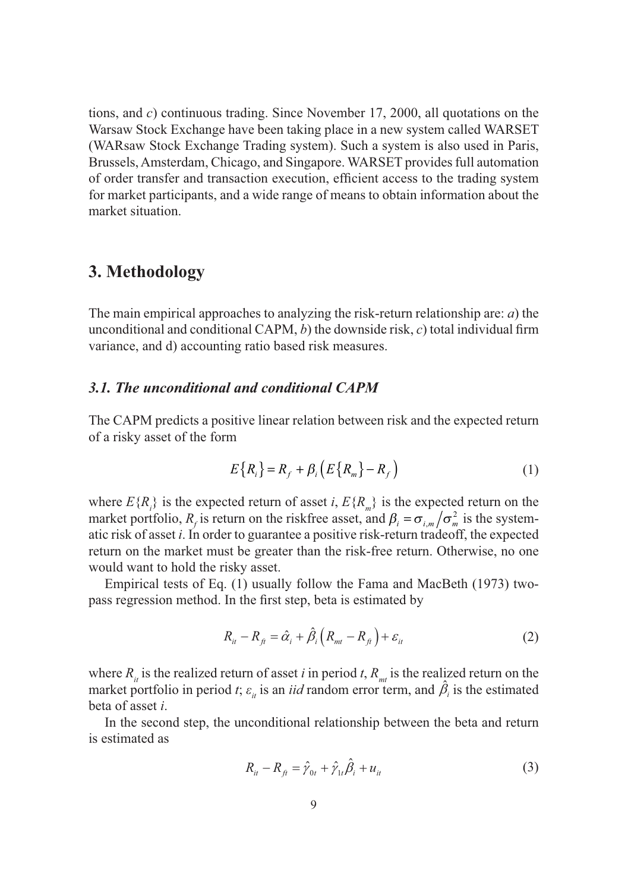tions, and *c*) continuous trading. Since November 17, 2000, all quotations on the Warsaw Stock Exchange have been taking place in a new system called WARSET (WARsaw Stock Exchange Trading system). Such a system is also used in Paris, Brussels, Amsterdam, Chicago, and Singapore. WARSET provides full automation of order transfer and transaction execution, efficient access to the trading system for market participants, and a wide range of means to obtain information about the market situation.

## **3. Methodology**

The main empirical approaches to analyzing the risk-return relationship are: *a*) the unconditional and conditional CAPM, *b*) the downside risk, *c*) total individual firm variance, and d) accounting ratio based risk measures.

## *3.1. The unconditional and conditional CAPM*

The CAPM predicts a positive linear relation between risk and the expected return of a risky asset of the form

$$
E\{R_i\} = R_f + \beta_i \left( E\{R_m\} - R_f \right) \tag{1}
$$

where  $E\{R_i\}$  is the expected return of asset *i*,  $E\{R_m\}$  is the expected return on the market portfolio,  $R_f$  is return on the riskfree asset, and  $\beta_i = \sigma_{i,m}/\sigma_m^2$  is the systematic risk of asset *i*. In order to guarantee a positive risk-return tradeoff, the expected return on the market must be greater than the risk-free return. Otherwise, no one would want to hold the risky asset.

Empirical tests of Eq. (1) usually follow the Fama and MacBeth (1973) twopass regression method. In the first step, beta is estimated by

$$
R_{it} - R_{fi} = \hat{\alpha}_i + \hat{\beta}_i \left( R_{mt} - R_{fi} \right) + \varepsilon_{it}
$$
 (2)

where  $R_{ij}$  is the realized return of asset *i* in period *t*,  $R_{mi}$  is the realized return on the market portfolio in period *t*;  $\varepsilon$ <sub>*it*</sub> is an *iid* random error term, and  $\hat{\beta}$ <sub>*i*</sub> is the estimated market portfolio in period *t*;  $\varepsilon$ <sub>*it*</sub> is an *iid* random error term, and  $\hat{\beta}$ <sub>*i*</sub> is the estimated beta of asset *i*.

In the second step, the unconditional relationship between the beta and return is estimated as

$$
R_{ii} - R_{fi} = \hat{\gamma}_{0t} + \hat{\gamma}_{1t}\hat{\beta}_i + u_{it}
$$
 (3)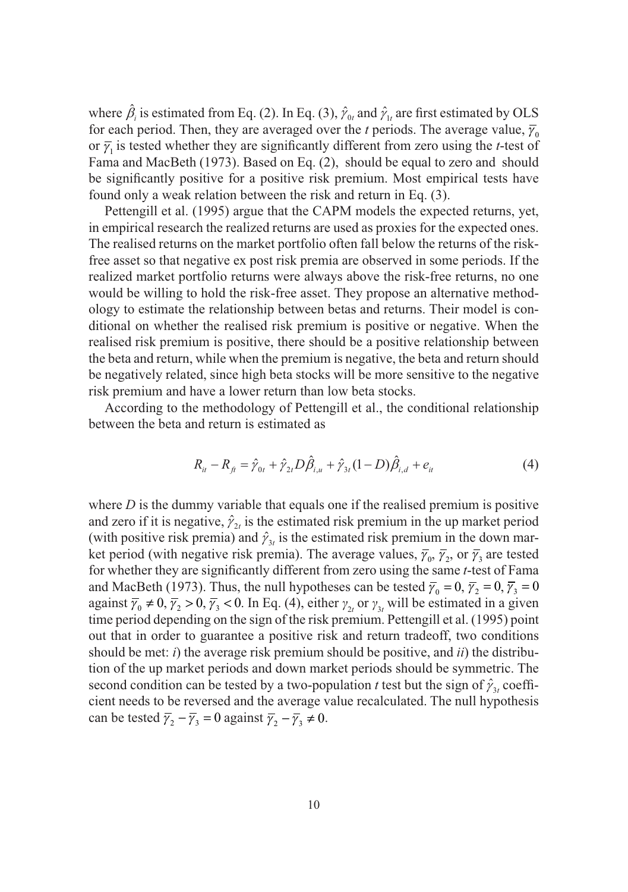where  $\hat{\beta}_i$  is estimated from Eq. (2). In Eq. (3),  $\hat{\gamma}_0$  and  $\hat{\gamma}_1$  are first estimated by OLS for each period. Then, they are averaged over the *t* periods. The average value,  $\overline{\gamma}_0$ or  $\overline{\gamma}_1$  is tested whether they are significantly different from zero using the *t*-test of Fama and MacBeth (1973). Based on Eq. (2), should be equal to zero and should be significantly positive for a positive risk premium. Most empirical tests have found only a weak relation between the risk and return in Eq. (3).

Pettengill et al. (1995) argue that the CAPM models the expected returns, yet, in empirical research the realized returns are used as proxies for the expected ones. The realised returns on the market portfolio often fall below the returns of the riskfree asset so that negative ex post risk premia are observed in some periods. If the realized market portfolio returns were always above the risk-free returns, no one would be willing to hold the risk-free asset. They propose an alternative methodology to estimate the relationship between betas and returns. Their model is conditional on whether the realised risk premium is positive or negative. When the realised risk premium is positive, there should be a positive relationship between the beta and return, while when the premium is negative, the beta and return should be negatively related, since high beta stocks will be more sensitive to the negative risk premium and have a lower return than low beta stocks.

According to the methodology of Pettengill et al., the conditional relationship between the beta and return is estimated as

$$
R_{ii} - R_{fi} = \hat{\gamma}_{0t} + \hat{\gamma}_{2t} D \hat{\beta}_{i,u} + \hat{\gamma}_{3t} (1 - D) \hat{\beta}_{i,d} + e_{it}
$$
(4)

where  $D$  is the dummy variable that equals one if the realised premium is positive and zero if it is negative,  $\hat{\gamma}_{2t}$  is the estimated risk premium in the up market period (with positive risk premia) and  $\hat{\gamma}_{3t}$  is the estimated risk premium in the down market period (with negative risk premia). The average values,  $\overline{\gamma}_0$ ,  $\overline{\gamma}_2$ , or  $\overline{\gamma}_3$  are tested for whether they are significantly different from zero using the same *t*-test of Fama and MacBeth (1973). Thus, the null hypotheses can be tested  $\bar{\gamma}_0 = 0$ ,  $\bar{\gamma}_2 = 0$ ,  $\bar{\gamma}_3 = 0$ against  $\overline{\gamma}_0 \neq 0$ ,  $\overline{\gamma}_2 > 0$ ,  $\overline{\gamma}_3 < 0$ . In Eq. (4), either  $\gamma_{2t}$  or  $\gamma_{3t}$  will be estimated in a given time period depending on the sign of the risk premium. Pettengill et al. (1995) point out that in order to guarantee a positive risk and return tradeoff, two conditions should be met: *i*) the average risk premium should be positive, and *ii*) the distribution of the up market periods and down market periods should be symmetric. The second condition can be tested by a two-population *t* test but the sign of  $\hat{\gamma}_3$  coefficient needs to be reversed and the average value recalculated. The null hypothesis can be tested  $\overline{\gamma}_2 - \overline{\gamma}_3 = 0$  against  $\overline{\gamma}_2 - \overline{\gamma}_3 \neq 0$ .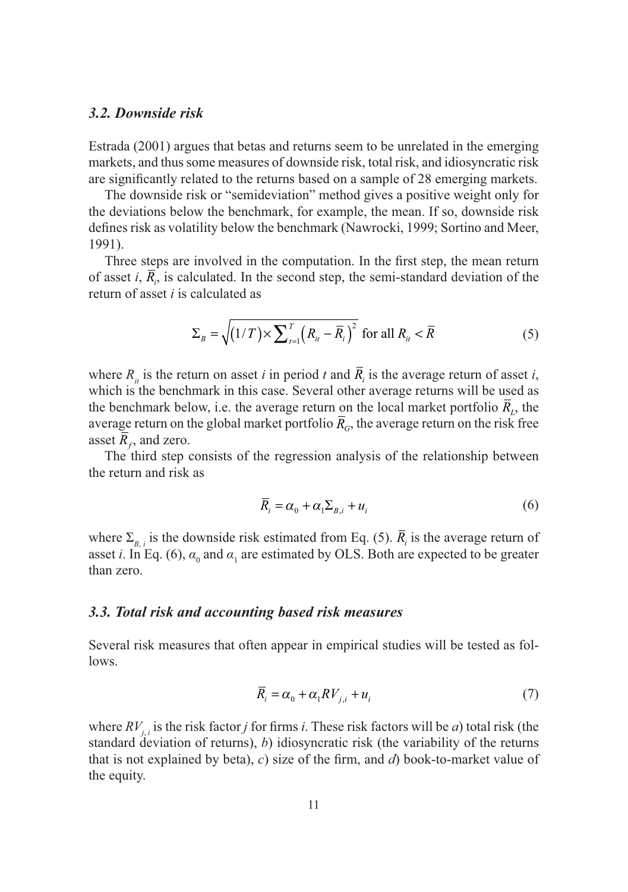#### *3.2. Downside risk*

Estrada (2001) argues that betas and returns seem to be unrelated in the emerging markets, and thus some measures of downside risk, total risk, and idiosyncratic risk are significantly related to the returns based on a sample of 28 emerging markets.

The downside risk or "semideviation" method gives a positive weight only for the deviations below the benchmark, for example, the mean. If so, downside risk defines risk as volatility below the benchmark (Nawrocki, 1999; Sortino and Meer, 1991).

Three steps are involved in the computation. In the first step, the mean return of asset  $i$ ,  $R_i$ , is calculated. In the second step, the semi-standard deviation of the return of asset *i* is calculated as

$$
\Sigma_{B} = \sqrt{(1/T) \times \sum_{i=1}^{T} (R_{ii} - \overline{R}_{i})^{2}} \text{ for all } R_{ii} < \overline{R}
$$
 (5)

where  $R_{ii}$  is the return on asset *i* in period *t* and  $R_i$  is the average return of asset *i*, which is the benchmark in this case. Several other average returns will be used as the benchmark below, i.e. the average return on the local market portfolio  $\overline{R}_L$ , the average return on the global market portfolio  $\bar{R}_G$ , the average return on the risk free asset  $\overline{R}_t$ , and zero.

The third step consists of the regression analysis of the relationship between the return and risk as

$$
\overline{R}_i = \alpha_0 + \alpha_1 \Sigma_{B,i} + u_i \tag{6}
$$

where  $\Sigma_{B,i}$  is the downside risk estimated from Eq. (5).  $R_i$  is the average return of asset *i*. In Eq. (6),  $\alpha_0$  and  $\alpha_1$  are estimated by OLS. Both are expected to be greater than zero.

#### *3.3. Total risk and accounting based risk measures*

Several risk measures that often appear in empirical studies will be tested as follows.

$$
\bar{R}_i = \alpha_0 + \alpha_1 RV_{j,i} + u_i \tag{7}
$$

where  $RV_{j,i}$  is the risk factor *j* for firms *i*. These risk factors will be *a*) total risk (the standard deviation of returns), *b*) idiosyncratic risk (the variability of the returns that is not explained by beta), *c*) size of the firm, and *d*) book-to-market value of the equity.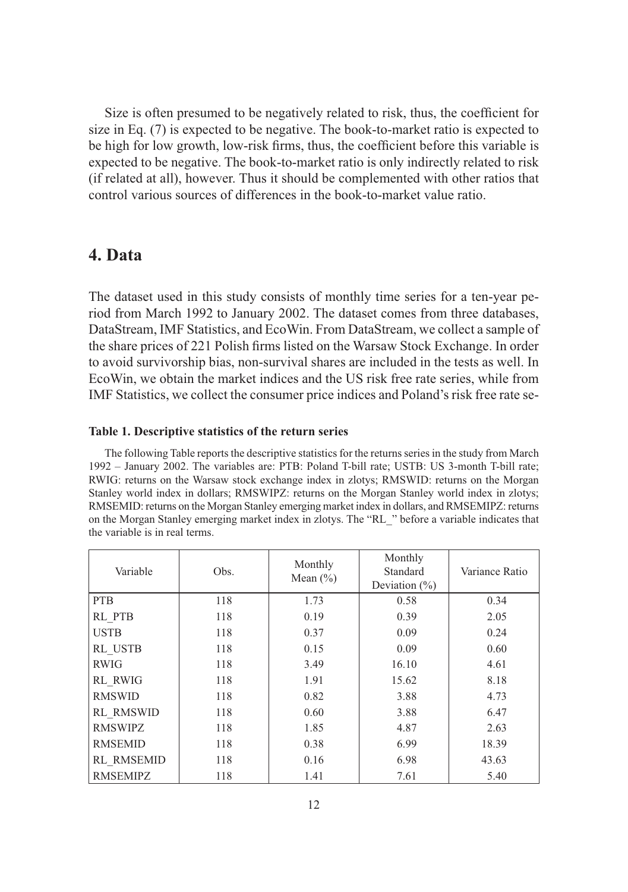Size is often presumed to be negatively related to risk, thus, the coefficient for size in Eq. (7) is expected to be negative. The book-to-market ratio is expected to be high for low growth, low-risk firms, thus, the coefficient before this variable is expected to be negative. The book-to-market ratio is only indirectly related to risk (if related at all), however. Thus it should be complemented with other ratios that control various sources of differences in the book-to-market value ratio.

## **4. Data**

The dataset used in this study consists of monthly time series for a ten-year period from March 1992 to January 2002. The dataset comes from three databases, DataStream, IMF Statistics, and EcoWin. From DataStream, we collect a sample of the share prices of 221 Polish firms listed on the Warsaw Stock Exchange. In order to avoid survivorship bias, non-survival shares are included in the tests as well. In EcoWin, we obtain the market indices and the US risk free rate series, while from IMF Statistics, we collect the consumer price indices and Poland's risk free rate se-

#### **Table 1. Descriptive statistics of the return series**

The following Table reports the descriptive statistics for the returns series in the study from March 1992 – January 2002. The variables are: PTB: Poland T-bill rate; USTB: US 3-month T-bill rate; RWIG: returns on the Warsaw stock exchange index in zlotys; RMSWID: returns on the Morgan Stanley world index in dollars; RMSWIPZ: returns on the Morgan Stanley world index in zlotys; RMSEMID: returns on the Morgan Stanley emerging market index in dollars, and RMSEMIPZ: returns on the Morgan Stanley emerging market index in zlotys. The "RL\_" before a variable indicates that the variable is in real terms.

| Variable         | Obs. | Monthly<br>Mean $(\% )$ | Monthly<br>Standard<br>Deviation $(\%)$ | Variance Ratio |
|------------------|------|-------------------------|-----------------------------------------|----------------|
| <b>PTB</b>       | 118  | 1.73                    | 0.58                                    | 0.34           |
| RL PTB           | 118  | 0.19                    | 0.39                                    | 2.05           |
| <b>USTB</b>      | 118  | 0.37                    | 0.09                                    | 0.24           |
| RL USTB          | 118  | 0.15                    | 0.09                                    | 0.60           |
| <b>RWIG</b>      | 118  | 3.49                    | 16.10                                   | 4.61           |
| <b>RL RWIG</b>   | 118  | 1.91                    | 15.62                                   | 8.18           |
| <b>RMSWID</b>    | 118  | 0.82                    | 3.88                                    | 4.73           |
| <b>RL RMSWID</b> | 118  | 0.60                    | 3.88                                    | 6.47           |
| <b>RMSWIPZ</b>   | 118  | 1.85                    | 4.87                                    | 2.63           |
| <b>RMSEMID</b>   | 118  | 0.38                    | 6.99                                    | 18.39          |
| RL RMSEMID       | 118  | 0.16                    | 6.98                                    | 43.63          |
| <b>RMSEMIPZ</b>  | 118  | 1.41                    | 7.61                                    | 5.40           |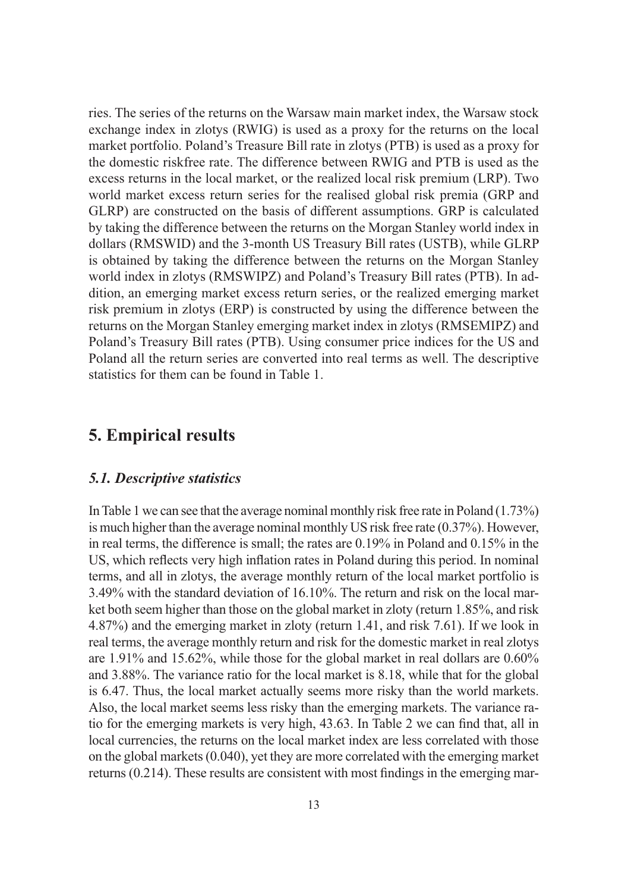ries. The series of the returns on the Warsaw main market index, the Warsaw stock exchange index in zlotys (RWIG) is used as a proxy for the returns on the local market portfolio. Poland's Treasure Bill rate in zlotys (PTB) is used as a proxy for the domestic riskfree rate. The difference between RWIG and PTB is used as the excess returns in the local market, or the realized local risk premium (LRP). Two world market excess return series for the realised global risk premia (GRP and GLRP) are constructed on the basis of different assumptions. GRP is calculated by taking the difference between the returns on the Morgan Stanley world index in dollars (RMSWID) and the 3-month US Treasury Bill rates (USTB), while GLRP is obtained by taking the difference between the returns on the Morgan Stanley world index in zlotys (RMSWIPZ) and Poland's Treasury Bill rates (PTB). In addition, an emerging market excess return series, or the realized emerging market risk premium in zlotys (ERP) is constructed by using the difference between the returns on the Morgan Stanley emerging market index in zlotys (RMSEMIPZ) and Poland's Treasury Bill rates (PTB). Using consumer price indices for the US and Poland all the return series are converted into real terms as well. The descriptive statistics for them can be found in Table 1.

## **5. Empirical results**

## *5.1. Descriptive statistics*

In Table 1 we can see that the average nominal monthly risk free rate in Poland (1.73%) is much higher than the average nominal monthly US risk free rate (0.37%). However, in real terms, the difference is small; the rates are 0.19% in Poland and 0.15% in the US, which reflects very high inflation rates in Poland during this period. In nominal terms, and all in zlotys, the average monthly return of the local market portfolio is 3.49% with the standard deviation of 16.10%. The return and risk on the local market both seem higher than those on the global market in zloty (return 1.85%, and risk 4.87%) and the emerging market in zloty (return 1.41, and risk 7.61). If we look in real terms, the average monthly return and risk for the domestic market in real zlotys are 1.91% and 15.62%, while those for the global market in real dollars are 0.60% and 3.88%. The variance ratio for the local market is 8.18, while that for the global is 6.47. Thus, the local market actually seems more risky than the world markets. Also, the local market seems less risky than the emerging markets. The variance ratio for the emerging markets is very high, 43.63. In Table 2 we can find that, all in local currencies, the returns on the local market index are less correlated with those on the global markets (0.040), yet they are more correlated with the emerging market returns (0.214). These results are consistent with most findings in the emerging mar-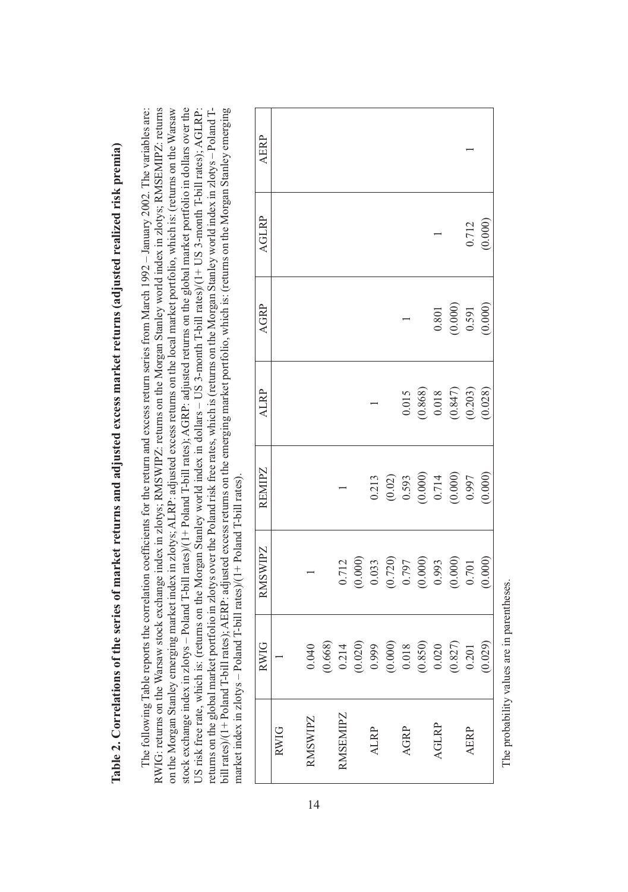|   | i                                                    |  |
|---|------------------------------------------------------|--|
|   | i                                                    |  |
|   |                                                      |  |
|   |                                                      |  |
|   |                                                      |  |
|   | i                                                    |  |
|   |                                                      |  |
|   |                                                      |  |
|   |                                                      |  |
|   |                                                      |  |
|   |                                                      |  |
|   |                                                      |  |
|   |                                                      |  |
|   |                                                      |  |
|   |                                                      |  |
|   |                                                      |  |
|   |                                                      |  |
|   |                                                      |  |
|   |                                                      |  |
|   |                                                      |  |
|   |                                                      |  |
|   |                                                      |  |
|   |                                                      |  |
|   | ֖֖֖֖֖֧֪ׅ֖֚֚֚֚֚֚֚֚֚֚֚֚֚֚֚֚֚֚֚֚֚֚֚֚֬֝֝֟֓֡֞֬֝֬֝֓֞֬<br>١ |  |
|   | ֖֖֖֖֧ׅׅׅ֖ׅ֖ׅ֖֧֚֚֚֚֚֚֚֚֚֚֚֚֚֚֚֚֚֚֚֚֚֚֚֚֚֚֚֚֚֬֝֝֬֝     |  |
|   |                                                      |  |
|   |                                                      |  |
|   |                                                      |  |
|   |                                                      |  |
|   | l                                                    |  |
|   |                                                      |  |
|   |                                                      |  |
|   |                                                      |  |
|   |                                                      |  |
|   |                                                      |  |
|   |                                                      |  |
|   |                                                      |  |
|   |                                                      |  |
|   |                                                      |  |
|   | ֘֒                                                   |  |
|   | ֚֬֕                                                  |  |
|   |                                                      |  |
|   |                                                      |  |
|   | ׇׅ֠                                                  |  |
|   |                                                      |  |
|   |                                                      |  |
|   |                                                      |  |
|   |                                                      |  |
|   |                                                      |  |
|   |                                                      |  |
|   |                                                      |  |
|   |                                                      |  |
|   |                                                      |  |
|   |                                                      |  |
|   |                                                      |  |
|   | ֘֝֬                                                  |  |
|   |                                                      |  |
|   |                                                      |  |
|   |                                                      |  |
|   |                                                      |  |
|   |                                                      |  |
|   |                                                      |  |
|   |                                                      |  |
|   | ļ                                                    |  |
|   |                                                      |  |
|   |                                                      |  |
|   |                                                      |  |
|   | l                                                    |  |
|   |                                                      |  |
|   |                                                      |  |
|   | ֕                                                    |  |
|   |                                                      |  |
|   | I                                                    |  |
|   |                                                      |  |
|   |                                                      |  |
|   |                                                      |  |
|   |                                                      |  |
|   | l                                                    |  |
|   |                                                      |  |
|   |                                                      |  |
|   |                                                      |  |
|   |                                                      |  |
|   | l                                                    |  |
|   |                                                      |  |
|   | $\overline{a}$<br>Ì                                  |  |
|   |                                                      |  |
|   |                                                      |  |
|   |                                                      |  |
|   |                                                      |  |
|   |                                                      |  |
| į |                                                      |  |
|   |                                                      |  |
|   |                                                      |  |
|   |                                                      |  |
|   |                                                      |  |
|   |                                                      |  |
|   | l                                                    |  |
|   |                                                      |  |
|   |                                                      |  |
|   |                                                      |  |
|   |                                                      |  |
|   |                                                      |  |
|   | l                                                    |  |
|   |                                                      |  |
|   |                                                      |  |
|   |                                                      |  |
|   |                                                      |  |
|   | l                                                    |  |
|   |                                                      |  |
|   | l                                                    |  |
|   | ś                                                    |  |
|   |                                                      |  |
| ľ | ļ<br>l                                               |  |

The following Table reports the correlation coefficients for the return and excess return series from March 1992 – January 2002. The variables are: RWIG: returns on the Warsaw stock exchange index in zlotys; RMSWIPZ: returns on the Morgan Stanley world index in zlotys; RMSEMIPZ: returns RWIG: returns on the Warsaw stock exchange index in zlotys; RMSWIPZ: returns on the Morgan Stanley world index in zlotys; RMSEMIPZ: returns on the Morgan Stanley emerging market index in zlotys; ALRP: adjusted excess returns on the local market portfolio, which is: (returns on the Warsaw on the Morgan Stanley emerging market index in zlotys; ALRP: adjusted excess returns on the local market portfolio, which is: (returns on the Warsaw stock exchange index in zlotys - Poland T-bill rates)/(1+ Poland T-bill rates); AGRP: adjusted returns on the global market portfolio in dollars over the stock exchange index in zlotys – Poland T-bill rates)/(1+ Poland T-bill rates); AGRP: adjusted returns on the global market portfolio in dollars over the US risk free rate, which is: (returns on the Morgan Stanley world index in dollars – US 3-month T-bill rates)/(1+ US 3-month T-bill rates); AGLRP: returns on the global market portfolio in zlotys over the Poland risk free rates, which is (returns on the Morgan Stanley world index in zlotys - Poland Tbill rates)/(1+Poland T-bill rates); AERP: adjusted excess returns on the emerging market portfolio, which is: (returns on the Morgan Stanley emerging bill rates)/(1+ Poland T-bill rates); AERP: adjusted excess returns on the emerging market portfolio, which is: (returns on the Morgan Stanley emerging The following Table reports the correlation coefficients for the return and excess return series from March 1992 - January 2002. The variables are: US risk free rate, which is: (returns on the Morgan Stanley world index in dollars - US 3-month T-bill rates)/(1+ US 3-month T-bill rates); AGLRP: returns on the global market portfolio in zlotys over the Poland risk free rates, which is (returns on the Morgan Stanley world index in zlotys – Poland Tmarket index in  $z$ lotys - Poland T-bill rates)/ $(1 + P_0)$  and T-bill rates). market index in zlotys – Poland T-bill rates)/(1+ Poland T-bill rates).

|                | <b>RWIG</b> | RMSWIPZ                                                                                                                          | REMIPZ                                                                                               | <b>ALRP</b>                                                                               | AGRP                                                     | AGLRP   | <b>AERP</b> |
|----------------|-------------|----------------------------------------------------------------------------------------------------------------------------------|------------------------------------------------------------------------------------------------------|-------------------------------------------------------------------------------------------|----------------------------------------------------------|---------|-------------|
| <b>RWIG</b>    |             |                                                                                                                                  |                                                                                                      |                                                                                           |                                                          |         |             |
| <b>RMSWIPZ</b> | 040         |                                                                                                                                  |                                                                                                      |                                                                                           |                                                          |         |             |
|                | .668)       |                                                                                                                                  |                                                                                                      |                                                                                           |                                                          |         |             |
| RMSEMIPZ       | 0.214       |                                                                                                                                  |                                                                                                      |                                                                                           |                                                          |         |             |
|                | (0.020)     | $\begin{array}{l} 0.712\\ (0.000)\\ (0.033)\\ (0.720)\\ (0.797)\\ (0.000)\\ (0.000)\\ (0.000)\\ (0.000)\\ (0.000)\\ \end{array}$ |                                                                                                      |                                                                                           |                                                          |         |             |
| <b>ALRP</b>    | 0.999       |                                                                                                                                  |                                                                                                      |                                                                                           |                                                          |         |             |
|                | (0.000)     |                                                                                                                                  |                                                                                                      |                                                                                           |                                                          |         |             |
| AGRP           | 0.018       |                                                                                                                                  |                                                                                                      |                                                                                           |                                                          |         |             |
|                | (0.850)     |                                                                                                                                  |                                                                                                      |                                                                                           |                                                          |         |             |
| AGLRP          | 0.020       |                                                                                                                                  |                                                                                                      |                                                                                           |                                                          |         |             |
|                | (0.827)     |                                                                                                                                  | $\begin{array}{c} 0.213 \\ (0.02) \\ 0.593 \\ (0.000) \\ 0.714 \\ (0.000) \\ (0.000) \\ \end{array}$ | $\begin{array}{c} 0.015 \\ (0.868) \\ 0.018 \\ (0.847) \\ (0.203) \\ (0.028) \end{array}$ | $\begin{array}{c} 0.801 \\ (0.000) \\ 0.591 \end{array}$ |         |             |
| <b>AERP</b>    | 0.201       |                                                                                                                                  |                                                                                                      |                                                                                           |                                                          | 0.712   |             |
|                | 0.029       | (0.000)                                                                                                                          | (0.000)                                                                                              |                                                                                           | (0.000)                                                  | (0.000) |             |

The probability values are in parentheses. The probability values are in parentheses.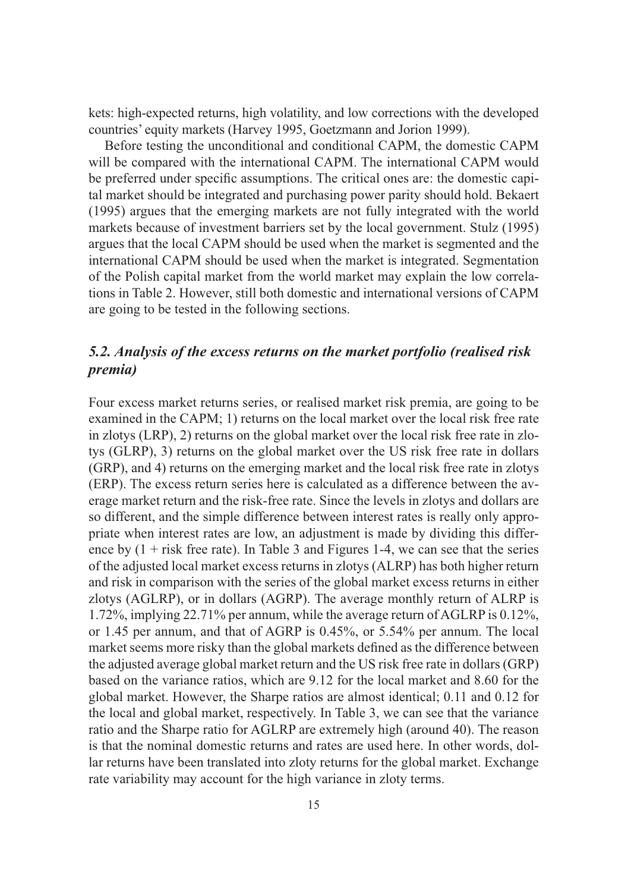kets: high-expected returns, high volatility, and low corrections with the developed countries' equity markets (Harvey 1995, Goetzmann and Jorion 1999).

Before testing the unconditional and conditional CAPM, the domestic CAPM will be compared with the international CAPM. The international CAPM would be preferred under specific assumptions. The critical ones are: the domestic capital market should be integrated and purchasing power parity should hold. Bekaert (1995) argues that the emerging markets are not fully integrated with the world markets because of investment barriers set by the local government. Stulz (1995) argues that the local CAPM should be used when the market is segmented and the international CAPM should be used when the market is integrated. Segmentation of the Polish capital market from the world market may explain the low correlations in Table 2. However, still both domestic and international versions of CAPM are going to be tested in the following sections.

## *5.2. Analysis of the excess returns on the market portfolio (realised risk premia)*

Four excess market returns series, or realised market risk premia, are going to be examined in the CAPM; 1) returns on the local market over the local risk free rate in zlotys (LRP), 2) returns on the global market over the local risk free rate in zlotys (GLRP), 3) returns on the global market over the US risk free rate in dollars (GRP), and 4) returns on the emerging market and the local risk free rate in zlotys (ERP). The excess return series here is calculated as a difference between the average market return and the risk-free rate. Since the levels in zlotys and dollars are so different, and the simple difference between interest rates is really only appropriate when interest rates are low, an adjustment is made by dividing this difference by  $(1 +$  risk free rate). In Table 3 and Figures 1-4, we can see that the series of the adjusted local market excess returns in zlotys (ALRP) has both higher return and risk in comparison with the series of the global market excess returns in either zlotys (AGLRP), or in dollars (AGRP). The average monthly return of ALRP is 1.72%, implying 22.71% per annum, while the average return of AGLRP is 0.12%, or 1.45 per annum, and that of AGRP is 0.45%, or 5.54% per annum. The local market seems more risky than the global markets defined as the difference between the adjusted average global market return and the US risk free rate in dollars (GRP) based on the variance ratios, which are 9.12 for the local market and 8.60 for the global market. However, the Sharpe ratios are almost identical; 0.11 and 0.12 for the local and global market, respectively. In Table 3, we can see that the variance ratio and the Sharpe ratio for AGLRP are extremely high (around 40). The reason is that the nominal domestic returns and rates are used here. In other words, dollar returns have been translated into zloty returns for the global market. Exchange rate variability may account for the high variance in zloty terms.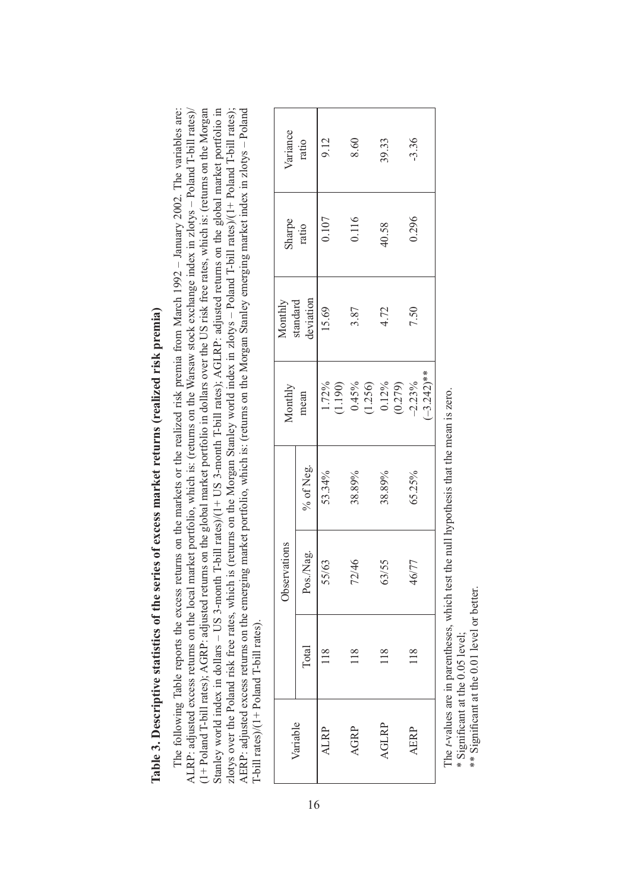| į<br>í                                |
|---------------------------------------|
| i<br>l                                |
| l                                     |
| ì<br>2575                             |
| ו<br>ו<br>֚֘                          |
| ٣                                     |
|                                       |
|                                       |
| :<br>I<br>l                           |
|                                       |
| I                                     |
| $\frac{a}{b}$<br>$\ddot{\phantom{a}}$ |

The following Table reports the excess returns on the markets or the realized risk premia from March 1992 – January 2002. The variables are: (1+Poland T-bill rates); AGRP: adjusted returns on the global market portfolio in dollars over the US risk free rates, which is: (returns on the Morgan (1+ Poland T-bill rates); AGRP: adjusted returns on the global market portfolio in dollars over the US risk free rates, which is: (returns on the Morgan Stanley world index in dollars – US 3-month T-bill rates)/(1+ US 3-month T-bill rates); AGLRP: adjusted returns on the global market portfolio in Stanley world index in dollars – US 3-month T-bill rates)/(1+ US 3-month T-bill rates); AGLRP: adjusted returns on the global market portfolio in zlotys over the Poland risk free rates, which is (returns on the Morgan Stanley world index in zlotys – Poland T-bill rates)/(1+ Poland T-bill rates); AERP: adjusted excess returns on the emerging market portfolio, which is: (returns on the Morgan Stanley emerging market index in zlotys – Poland The following Table reports the excess returns on the markets or the realized risk premia from March 1992 - January 2002. The variables are: ALRP: adjusted excess returns on the local market portfolio, which is: (returns on the Warsaw stock exchange index in zlotys - Poland T-bill rates)/ zlotys over the Poland risk free rates, which is (returns on the Morgan Stanley world index in zlotys - Poland T-bill rates)/(1+ Poland T-bill rates); AERP: adjusted excess returns on the emerging market portfolio, which is: (returns on the Morgan Stanley emerging market index in zlotys - Poland ALRP: adjusted excess returns on the local market portfolio, which is: (returns on the Warsaw stock exchange index in zlotys – Poland T-bill rates)/ T-bill rates)/(1+ Poland T-bill rates). T-bill rates)/(1+ Poland T-bill rates).

| Variance<br>ratio |                                  | 9.12           | 8.60                                                                                         | 39.33  | $-3.36$                            |
|-------------------|----------------------------------|----------------|----------------------------------------------------------------------------------------------|--------|------------------------------------|
| Sharpe<br>ratio   |                                  | 0.107          | 0.116                                                                                        | 40.58  | 0.296                              |
|                   | Monthly<br>standard<br>deviation | 15.69          | 3.87                                                                                         | 4.72   | 7.50                               |
| Monthly           | mean                             |                | $\begin{array}{l} 1.72\% \\ (1.190) \\ (0.45\% \\ (1.256) \\ (1.256) \\ (0.12\% \end{array}$ |        | $-3.242$ <sup>**</sup><br>$-2.23%$ |
|                   | % of Neg.                        | 53.34%         | 38.89%                                                                                       | 38.89% | 65.25%                             |
| Observations      | Pos./Nag.                        | 55/63          | 72/46                                                                                        | 63/55  | 46/77                              |
|                   | Total                            | $\frac{8}{10}$ |                                                                                              |        |                                    |
| /ariable          |                                  | <b>ALRP</b>    | AGRP                                                                                         | AGLRP  | AERP                               |

The *t*-values are in parentheses, which test the null hypothesis that the mean is zero. The t-values are in parentheses, which test the null hypothesis that the mean is zero.

\* Significant at the 0.05 level; \* Significant at the 0.05 level;

\*\* Significant at the 0.01 level or better. \*\* Significant at the 0.01 level or better.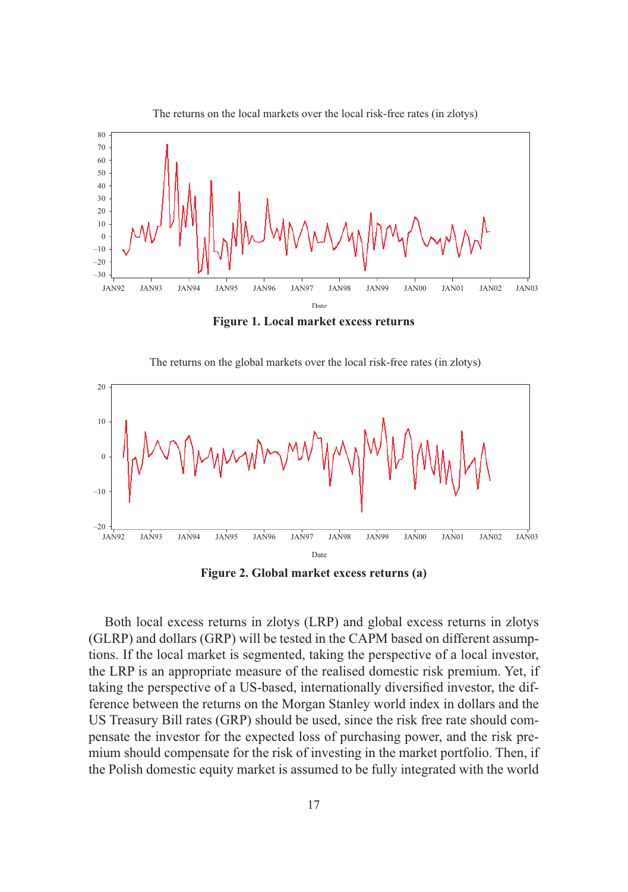

The returns on the local markets over the local risk-free rates (in zlotys)

**Figure 1. Local market excess returns** 





**Figure 2. Global market excess returns (a)**

Both local excess returns in zlotys (LRP) and global excess returns in zlotys (GLRP) and dollars (GRP) will be tested in the CAPM based on different assumptions. If the local market is segmented, taking the perspective of a local investor, the LRP is an appropriate measure of the realised domestic risk premium. Yet, if taking the perspective of a US-based, internationally diversified investor, the difference between the returns on the Morgan Stanley world index in dollars and the US Treasury Bill rates (GRP) should be used, since the risk free rate should compensate the investor for the expected loss of purchasing power, and the risk premium should compensate for the risk of investing in the market portfolio. Then, if the Polish domestic equity market is assumed to be fully integrated with the world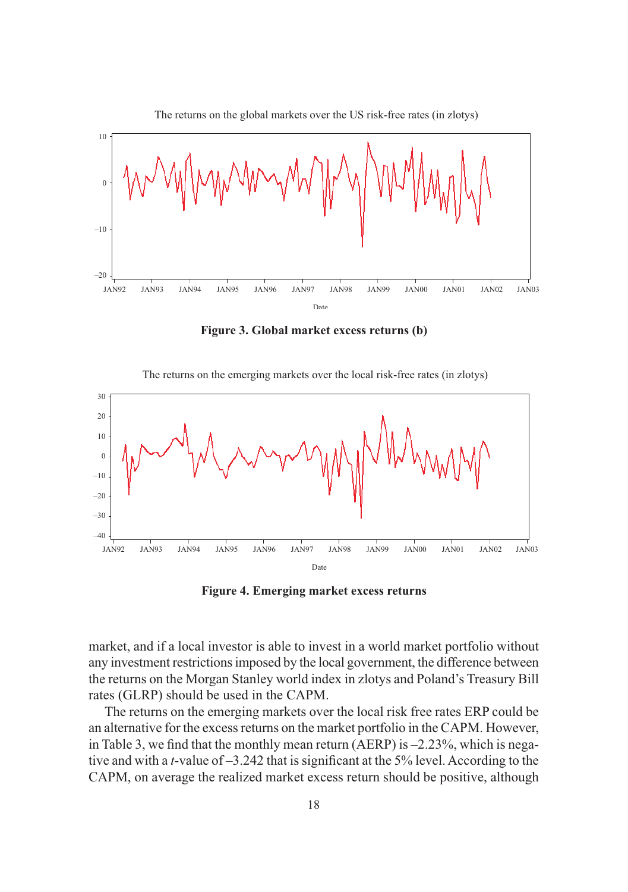

**Figure 3. Global market excess returns (b)**

The returns on the emerging markets over the local risk-free rates (in zlotys)



**Figure 4. Emerging market excess returns** 

market, and if a local investor is able to invest in a world market portfolio without any investment restrictions imposed by the local government, the difference between the returns on the Morgan Stanley world index in zlotys and Poland's Treasury Bill rates (GLRP) should be used in the CAPM.

The returns on the emerging markets over the local risk free rates ERP could be an alternative for the excess returns on the market portfolio in the CAPM. However, in Table 3, we find that the monthly mean return (AERP) is –2.23%, which is negative and with a *t*-value of –3.242 that is significant at the 5% level. According to the CAPM, on average the realized market excess return should be positive, although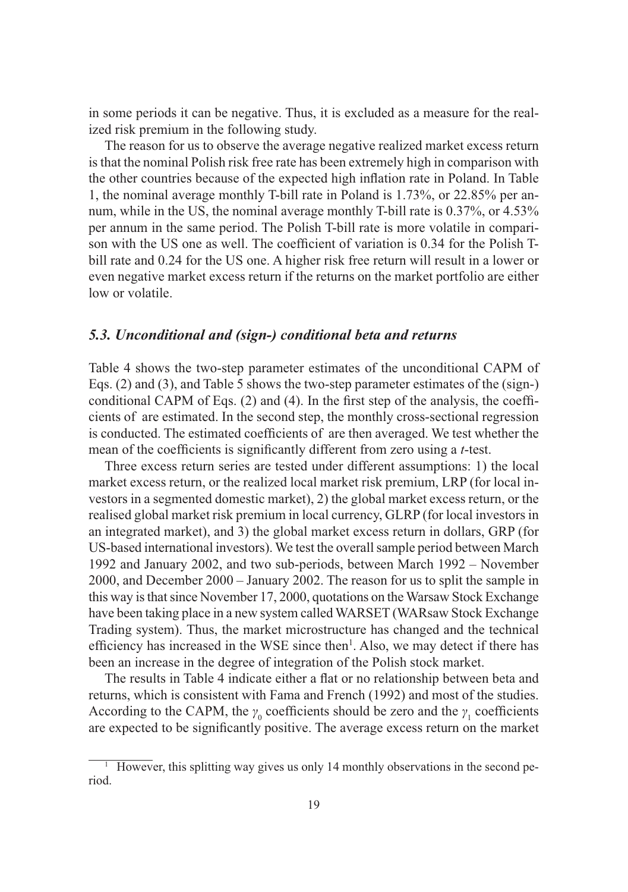in some periods it can be negative. Thus, it is excluded as a measure for the realized risk premium in the following study.

The reason for us to observe the average negative realized market excess return is that the nominal Polish risk free rate has been extremely high in comparison with the other countries because of the expected high inflation rate in Poland. In Table 1, the nominal average monthly T-bill rate in Poland is 1.73%, or 22.85% per annum, while in the US, the nominal average monthly T-bill rate is 0.37%, or 4.53% per annum in the same period. The Polish T-bill rate is more volatile in comparison with the US one as well. The coefficient of variation is 0.34 for the Polish Tbill rate and 0.24 for the US one. A higher risk free return will result in a lower or even negative market excess return if the returns on the market portfolio are either low or volatile.

## *5.3. Unconditional and (sign-) conditional beta and returns*

Table 4 shows the two-step parameter estimates of the unconditional CAPM of Eqs. (2) and (3), and Table 5 shows the two-step parameter estimates of the (sign-) conditional CAPM of Eqs. (2) and (4). In the first step of the analysis, the coefficients of are estimated. In the second step, the monthly cross-sectional regression is conducted. The estimated coefficients of are then averaged. We test whether the mean of the coefficients is significantly different from zero using a *t*-test.

Three excess return series are tested under different assumptions: 1) the local market excess return, or the realized local market risk premium, LRP (for local investors in a segmented domestic market), 2) the global market excess return, or the realised global market risk premium in local currency, GLRP (for local investors in an integrated market), and 3) the global market excess return in dollars, GRP (for US-based international investors). We test the overall sample period between March 1992 and January 2002, and two sub-periods, between March 1992 – November 2000, and December 2000 – January 2002. The reason for us to split the sample in this way is that since November 17, 2000, quotations on the Warsaw Stock Exchange have been taking place in a new system called WARSET (WARsaw Stock Exchange Trading system). Thus, the market microstructure has changed and the technical efficiency has increased in the WSE since then<sup>1</sup>. Also, we may detect if there has been an increase in the degree of integration of the Polish stock market.

The results in Table 4 indicate either a flat or no relationship between beta and returns, which is consistent with Fama and French (1992) and most of the studies. According to the CAPM, the  $\gamma_0$  coefficients should be zero and the  $\gamma_1$  coefficients are expected to be significantly positive. The average excess return on the market

<sup>1</sup> However, this splitting way gives us only 14 monthly observations in the second period.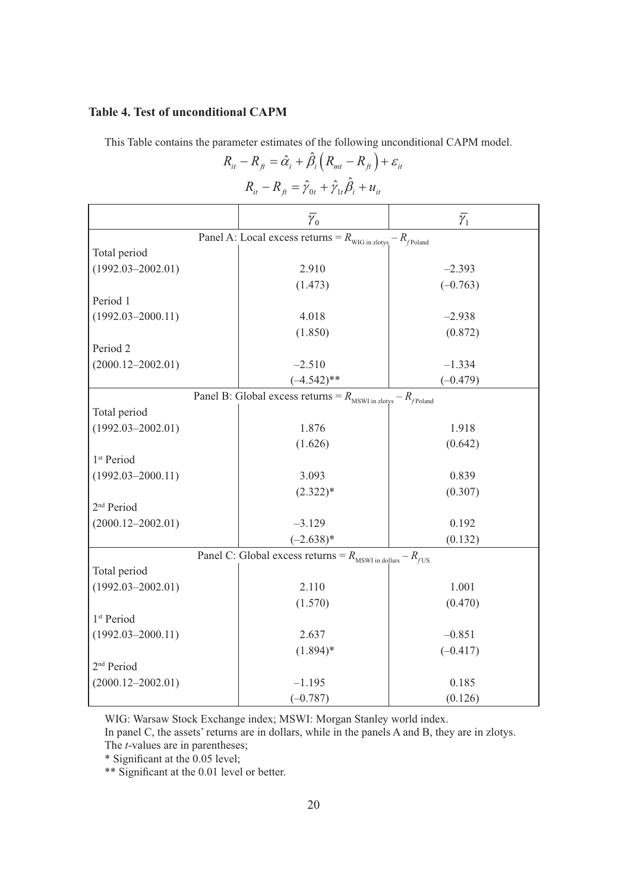## **Table 4. Test of unconditional CAPM**

This Table contains the parameter estimates of the following unconditional CAPM model.  $R_{it} - R_{\hat{H}} = \hat{\alpha}_i + \hat{\beta}_i (R_{mt} - R_{\hat{H}}) + \varepsilon_{it}$ 

| $R_{it} - R_{ft} = \hat{\gamma}_{0t} + \hat{\gamma}_{1t} \hat{\beta}_i + u_{it}$ |                         |                  |  |  |  |  |
|----------------------------------------------------------------------------------|-------------------------|------------------|--|--|--|--|
|                                                                                  | $\overline{\gamma}_{0}$ | $\bar{\gamma}_1$ |  |  |  |  |
| Panel A: Local excess returns = $R_{\text{WIG in zlotys}} - R_{\text{poland}}$   |                         |                  |  |  |  |  |
| Total period                                                                     |                         |                  |  |  |  |  |
| $(1992.03 - 2002.01)$                                                            | 2.910                   | $-2.393$         |  |  |  |  |
|                                                                                  | (1.473)                 | $(-0.763)$       |  |  |  |  |
| Period 1                                                                         |                         |                  |  |  |  |  |
| $(1992.03 - 2000.11)$                                                            | 4.018                   | $-2.938$         |  |  |  |  |
|                                                                                  | (1.850)                 | (0.872)          |  |  |  |  |
| Period <sub>2</sub>                                                              |                         |                  |  |  |  |  |
| $(2000.12 - 2002.01)$                                                            | $-2.510$                | $-1.334$         |  |  |  |  |
|                                                                                  | $(-4.542)$ **           | $(-0.479)$       |  |  |  |  |
| Panel B: Global excess returns = $R_{\text{MSWI in zlotys}} - R_{\text{poland}}$ |                         |                  |  |  |  |  |
| Total period                                                                     |                         |                  |  |  |  |  |
| $(1992.03 - 2002.01)$                                                            | 1.876                   | 1.918            |  |  |  |  |
|                                                                                  | (1.626)                 | (0.642)          |  |  |  |  |
| 1 <sup>st</sup> Period                                                           |                         |                  |  |  |  |  |
| $(1992.03 - 2000.11)$                                                            | 3.093                   | 0.839            |  |  |  |  |
|                                                                                  | $(2.322)*$              | (0.307)          |  |  |  |  |
| 2 <sup>nd</sup> Period                                                           |                         |                  |  |  |  |  |
| $(2000.12 - 2002.01)$                                                            | $-3.129$                | 0.192            |  |  |  |  |
|                                                                                  | $(-2.638)*$             | (0.132)          |  |  |  |  |
| Panel C: Global excess returns = $R_{\text{MSWI in dollars}} - R_{\text{fUS}}$   |                         |                  |  |  |  |  |
| Total period                                                                     |                         |                  |  |  |  |  |
| $(1992.03 - 2002.01)$                                                            | 2.110                   | 1.001            |  |  |  |  |
|                                                                                  | (1.570)                 | (0.470)          |  |  |  |  |
| 1 <sup>st</sup> Period                                                           |                         |                  |  |  |  |  |
| $(1992.03 - 2000.11)$                                                            | 2.637                   | $-0.851$         |  |  |  |  |
|                                                                                  | $(1.894)$ *             | $(-0.417)$       |  |  |  |  |
| 2 <sup>nd</sup> Period                                                           |                         |                  |  |  |  |  |
| $(2000.12 - 2002.01)$                                                            | $-1.195$                | 0.185            |  |  |  |  |
|                                                                                  | $(-0.787)$              | (0.126)          |  |  |  |  |

WIG: Warsaw Stock Exchange index; MSWI: Morgan Stanley world index.

In panel C, the assets' returns are in dollars, while in the panels A and B, they are in zlotys.

The *t*-values are in parentheses;

\* Significant at the 0.05 level;

\*\* Significant at the 0.01 level or better.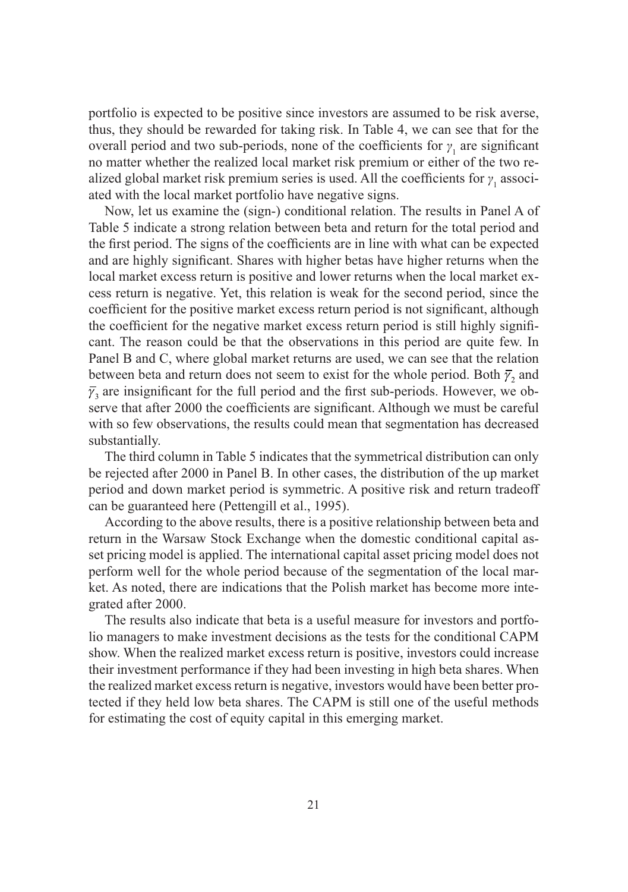portfolio is expected to be positive since investors are assumed to be risk averse, thus, they should be rewarded for taking risk. In Table 4, we can see that for the overall period and two sub-periods, none of the coefficients for  $\gamma_1$  are significant no matter whether the realized local market risk premium or either of the two realized global market risk premium series is used. All the coefficients for  $\gamma_1$  associated with the local market portfolio have negative signs.

Now, let us examine the (sign-) conditional relation. The results in Panel A of Table 5 indicate a strong relation between beta and return for the total period and the first period. The signs of the coefficients are in line with what can be expected and are highly significant. Shares with higher betas have higher returns when the local market excess return is positive and lower returns when the local market excess return is negative. Yet, this relation is weak for the second period, since the coefficient for the positive market excess return period is not significant, although the coefficient for the negative market excess return period is still highly significant. The reason could be that the observations in this period are quite few. In Panel B and C, where global market returns are used, we can see that the relation between beta and return does not seem to exist for the whole period. Both  $\bar{\gamma}$ , and  $\bar{y}_3$  are insignificant for the full period and the first sub-periods. However, we observe that after 2000 the coefficients are significant. Although we must be careful with so few observations, the results could mean that segmentation has decreased substantially.

The third column in Table 5 indicates that the symmetrical distribution can only be rejected after 2000 in Panel B. In other cases, the distribution of the up market period and down market period is symmetric. A positive risk and return tradeoff can be guaranteed here (Pettengill et al., 1995).

According to the above results, there is a positive relationship between beta and return in the Warsaw Stock Exchange when the domestic conditional capital asset pricing model is applied. The international capital asset pricing model does not perform well for the whole period because of the segmentation of the local market. As noted, there are indications that the Polish market has become more integrated after 2000.

The results also indicate that beta is a useful measure for investors and portfolio managers to make investment decisions as the tests for the conditional CAPM show. When the realized market excess return is positive, investors could increase their investment performance if they had been investing in high beta shares. When the realized market excess return is negative, investors would have been better protected if they held low beta shares. The CAPM is still one of the useful methods for estimating the cost of equity capital in this emerging market.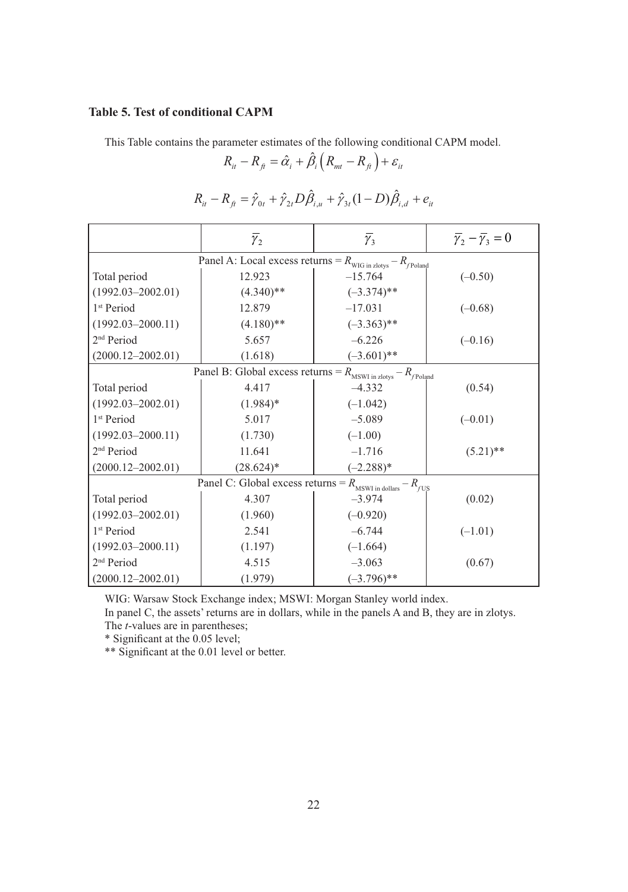## **Table 5. Test of conditional CAPM**

This Table contains the parameter estimates of the following conditional CAPM model.

$$
R_{it} - R_{fi} = \hat{\alpha}_i + \hat{\beta}_i \left( R_{mt} - R_{fi} \right) + \varepsilon_{it}
$$

$$
R_{ii} - R_{fi} = \hat{\gamma}_{0t} + \hat{\gamma}_{2t} D \hat{\beta}_{i,u} + \hat{\gamma}_{3t} (1 - D) \hat{\beta}_{i,d} + e_{it}
$$

| $\overline{\gamma}_2$                                                                   |              | $\overline{\gamma}_3$ | $\overline{\gamma}_2 - \overline{\gamma}_3 = 0$ |  |  |
|-----------------------------------------------------------------------------------------|--------------|-----------------------|-------------------------------------------------|--|--|
| Panel A: Local excess returns = $R_{\text{WIG in zlotys}} - R_{\text{Poland}}$          |              |                       |                                                 |  |  |
| Total period                                                                            | 12.923       | $-15.764$             | $(-0.50)$                                       |  |  |
| $(1992.03 - 2002.01)$                                                                   | $(4.340)$ ** | $(-3.374)$ **         |                                                 |  |  |
| 1 <sup>st</sup> Period                                                                  | 12.879       | $-17.031$             | $(-0.68)$                                       |  |  |
| $(1992.03 - 2000.11)$                                                                   | $(4.180)$ ** | $(-3.363)$ **         |                                                 |  |  |
| 2 <sup>nd</sup> Period                                                                  | 5.657        | $-6.226$              | $(-0.16)$                                       |  |  |
| $(2000.12 - 2002.01)$                                                                   | (1.618)      | $(-3.601)$ **         |                                                 |  |  |
| <b>Panel B:</b> Global excess returns = $R_{\text{MSWI in Zlotys}} - R_{\text{Poland}}$ |              |                       |                                                 |  |  |
| Total period                                                                            | 4.417        | $-4.332$              | (0.54)                                          |  |  |
| $(1992.03 - 2002.01)$                                                                   | $(1.984)$ *  | $(-1.042)$            |                                                 |  |  |
| 1 <sup>st</sup> Period                                                                  | 5.017        | $-5.089$              | $(-0.01)$                                       |  |  |
| $(1992.03 - 2000.11)$                                                                   | (1.730)      | $(-1.00)$             |                                                 |  |  |
| 2 <sup>nd</sup> Period                                                                  | 11.641       | $-1.716$              | $(5.21)$ **                                     |  |  |
| $(2000.12 - 2002.01)$                                                                   | $(28.624)^*$ | $(-2.288)*$           |                                                 |  |  |
| Panel C: Global excess returns = $R_{\text{MSWI in dollars}} - R_{fUS}$                 |              |                       |                                                 |  |  |
| Total period                                                                            | 4.307        | $-3.974$              | (0.02)                                          |  |  |
| $(1992.03 - 2002.01)$                                                                   | (1.960)      | $(-0.920)$            |                                                 |  |  |
| 1 <sup>st</sup> Period                                                                  | 2.541        | $-6.744$              | $(-1.01)$                                       |  |  |
| $(1992.03 - 2000.11)$                                                                   | (1.197)      | $(-1.664)$            |                                                 |  |  |
| 2 <sup>nd</sup> Period                                                                  | 4.515        | $-3.063$              | (0.67)                                          |  |  |
| $(2000.12 - 2002.01)$                                                                   | (1.979)      | $(-3.796)$ **         |                                                 |  |  |

WIG: Warsaw Stock Exchange index; MSWI: Morgan Stanley world index.

In panel C, the assets' returns are in dollars, while in the panels A and B, they are in zlotys. The *t*-values are in parentheses;

\* Significant at the 0.05 level;

\*\* Significant at the 0.01 level or better.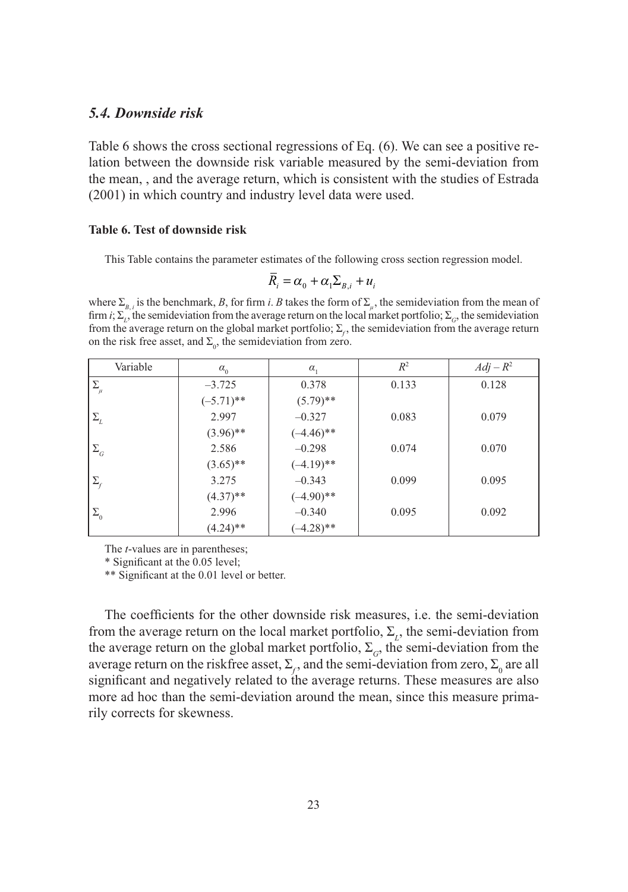## *5.4. Downside risk*

Table 6 shows the cross sectional regressions of Eq. (6). We can see a positive relation between the downside risk variable measured by the semi-deviation from the mean, , and the average return, which is consistent with the studies of Estrada (2001) in which country and industry level data were used.

#### **Table 6. Test of downside risk**

This Table contains the parameter estimates of the following cross section regression model.

$$
R_i = \alpha_0 + \alpha_1 \Sigma_{B,i} + u_i
$$

where  $\Sigma_{B,i}$  is the benchmark, *B*, for firm *i*. *B* takes the form of  $\Sigma_{\mu}$ , the semideviation from the mean of firm *i*;  $\Sigma_L$ , the semideviation from the average return on the local market portfolio;  $\Sigma_G$ , the semideviation from the average return on the global market portfolio;  $\Sigma_c$ , the semideviation from the average return on the risk free asset, and  $\Sigma_0$ , the semideviation from zero.

| Variable                           | $\alpha_{0}$ | $\alpha_{1}$ | $R^2$ | $Adj - R^2$ |
|------------------------------------|--------------|--------------|-------|-------------|
| $\Sigma_{\mu}$                     | $-3.725$     | 0.378        | 0.133 | 0.128       |
|                                    | $(-5.71)$ ** | $(5.79)$ **  |       |             |
| $\Sigma_{\rm\scriptscriptstyle L}$ | 2.997        | $-0.327$     | 0.083 | 0.079       |
|                                    | $(3.96)$ **  | $(-4.46)$ ** |       |             |
| $\Sigma_{\scriptscriptstyle{G}}$   | 2.586        | $-0.298$     | 0.074 | 0.070       |
|                                    | $(3.65)$ **  | $(-4.19)$ ** |       |             |
| $\Sigma_f$                         | 3.275        | $-0.343$     | 0.099 | 0.095       |
|                                    | $(4.37)$ **  | $(-4.90)$ ** |       |             |
| $\Sigma_{\scriptscriptstyle 0}$    | 2.996        | $-0.340$     | 0.095 | 0.092       |
|                                    | $(4.24)$ **  | $(-4.28)$ ** |       |             |

The *t*-values are in parentheses;

\* Significant at the 0.05 level;

\*\* Significant at the 0.01 level or better.

The coefficients for the other downside risk measures, i.e. the semi-deviation from the average return on the local market portfolio,  $\Sigma_{L}$ , the semi-deviation from the average return on the global market portfolio,  $\Sigma_{G}$ , the semi-deviation from the average return on the riskfree asset,  $\Sigma_f$ , and the semi-deviation from zero,  $\Sigma_0$  are all significant and negatively related to the average returns. These measures are also more ad hoc than the semi-deviation around the mean, since this measure primarily corrects for skewness.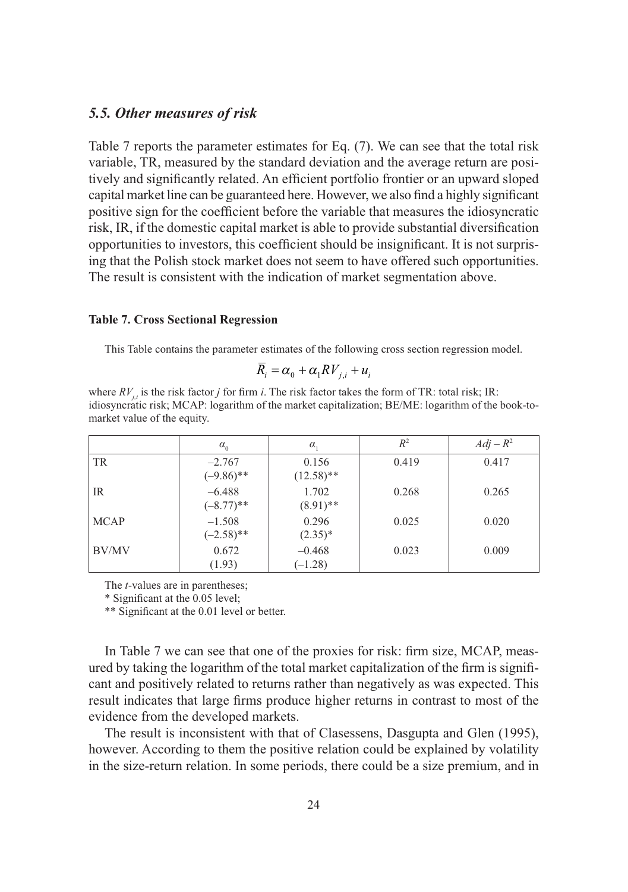## *5.5. Other measures of risk*

Table 7 reports the parameter estimates for Eq. (7). We can see that the total risk variable, TR, measured by the standard deviation and the average return are positively and significantly related. An efficient portfolio frontier or an upward sloped capital market line can be guaranteed here. However, we also find a highly significant positive sign for the coefficient before the variable that measures the idiosyncratic risk, IR, if the domestic capital market is able to provide substantial diversification opportunities to investors, this coefficient should be insignificant. It is not surprising that the Polish stock market does not seem to have offered such opportunities. The result is consistent with the indication of market segmentation above.

#### **Table 7. Cross Sectional Regression**

This Table contains the parameter estimates of the following cross section regression model.

$$
R_i = \alpha_0 + \alpha_1 RV_{j,i} + u_i
$$

where  $RV_i$ , is the risk factor *j* for firm *i*. The risk factor takes the form of TR: total risk; IR: idiosyncratic risk; MCAP: logarithm of the market capitalization; BE/ME: logarithm of the book-tomarket value of the equity.

|             | $\alpha_{0}$             | $\alpha$              | $R^2$ | $Adj - R^2$ |
|-------------|--------------------------|-----------------------|-------|-------------|
| TR          | $-2.767$<br>$(-9.86)$ ** | 0.156<br>$(12.58)$ ** | 0.419 | 0.417       |
| IR          | $-6.488$<br>$(-8.77)$ ** | 1.702<br>$(8.91)$ **  | 0.268 | 0.265       |
| <b>MCAP</b> | $-1.508$<br>$(-2.58)$ ** | 0.296<br>$(2.35)*$    | 0.025 | 0.020       |
| BV/MV       | 0.672<br>(1.93)          | $-0.468$<br>$(-1.28)$ | 0.023 | 0.009       |

The *t*-values are in parentheses;

\* Significant at the 0.05 level;

\*\* Significant at the 0.01 level or better.

In Table 7 we can see that one of the proxies for risk: firm size, MCAP, measured by taking the logarithm of the total market capitalization of the firm is significant and positively related to returns rather than negatively as was expected. This result indicates that large firms produce higher returns in contrast to most of the evidence from the developed markets.

The result is inconsistent with that of Clasessens, Dasgupta and Glen (1995), however. According to them the positive relation could be explained by volatility in the size-return relation. In some periods, there could be a size premium, and in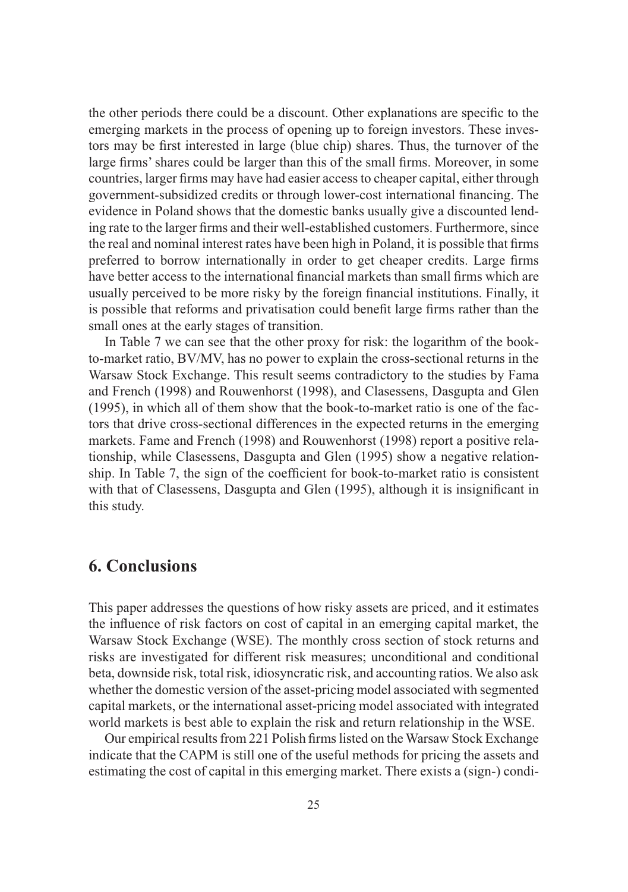the other periods there could be a discount. Other explanations are specific to the emerging markets in the process of opening up to foreign investors. These investors may be first interested in large (blue chip) shares. Thus, the turnover of the large firms' shares could be larger than this of the small firms. Moreover, in some countries, larger firms may have had easier access to cheaper capital, either through government-subsidized credits or through lower-cost international financing. The evidence in Poland shows that the domestic banks usually give a discounted lending rate to the larger firms and their well-established customers. Furthermore, since the real and nominal interest rates have been high in Poland, it is possible that firms preferred to borrow internationally in order to get cheaper credits. Large firms have better access to the international financial markets than small firms which are usually perceived to be more risky by the foreign financial institutions. Finally, it is possible that reforms and privatisation could benefit large firms rather than the small ones at the early stages of transition.

In Table 7 we can see that the other proxy for risk: the logarithm of the bookto-market ratio, BV/MV, has no power to explain the cross-sectional returns in the Warsaw Stock Exchange. This result seems contradictory to the studies by Fama and French (1998) and Rouwenhorst (1998), and Clasessens, Dasgupta and Glen (1995), in which all of them show that the book-to-market ratio is one of the factors that drive cross-sectional differences in the expected returns in the emerging markets. Fame and French (1998) and Rouwenhorst (1998) report a positive relationship, while Clasessens, Dasgupta and Glen (1995) show a negative relationship. In Table 7, the sign of the coefficient for book-to-market ratio is consistent with that of Clasessens, Dasgupta and Glen (1995), although it is insignificant in this study.

# **6. Conclusions**

This paper addresses the questions of how risky assets are priced, and it estimates the influence of risk factors on cost of capital in an emerging capital market, the Warsaw Stock Exchange (WSE). The monthly cross section of stock returns and risks are investigated for different risk measures; unconditional and conditional beta, downside risk, total risk, idiosyncratic risk, and accounting ratios. We also ask whether the domestic version of the asset-pricing model associated with segmented capital markets, or the international asset-pricing model associated with integrated world markets is best able to explain the risk and return relationship in the WSE.

Our empirical results from 221 Polish firms listed on the Warsaw Stock Exchange indicate that the CAPM is still one of the useful methods for pricing the assets and estimating the cost of capital in this emerging market. There exists a (sign-) condi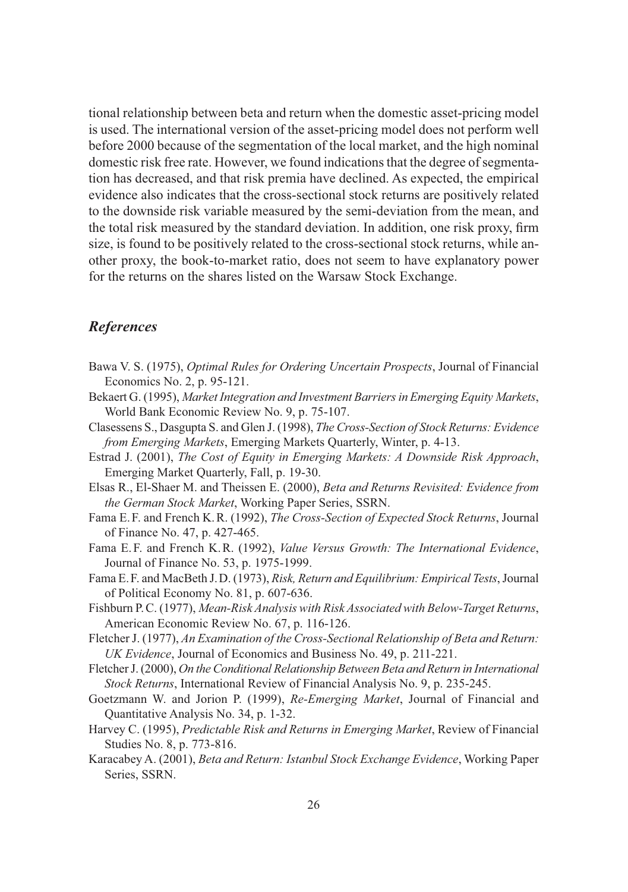tional relationship between beta and return when the domestic asset-pricing model is used. The international version of the asset-pricing model does not perform well before 2000 because of the segmentation of the local market, and the high nominal domestic risk free rate. However, we found indications that the degree of segmentation has decreased, and that risk premia have declined. As expected, the empirical evidence also indicates that the cross-sectional stock returns are positively related to the downside risk variable measured by the semi-deviation from the mean, and the total risk measured by the standard deviation. In addition, one risk proxy, firm size, is found to be positively related to the cross-sectional stock returns, while another proxy, the book-to-market ratio, does not seem to have explanatory power for the returns on the shares listed on the Warsaw Stock Exchange.

## *References*

- Bawa V. S. (1975), *Optimal Rules for Ordering Uncertain Prospects*, Journal of Financial Economics No. 2, p. 95-121.
- Bekaert G. (1995), *Market Integration and Investment Barriers in Emerging Equity Markets*, World Bank Economic Review No. 9, p. 75-107.
- Clasessens S., Dasgupta S. and Glen J. (1998), *The Cross-Section of Stock Returns: Evidence from Emerging Markets*, Emerging Markets Quarterly, Winter, p. 4-13.
- Estrad J. (2001), *The Cost of Equity in Emerging Markets: A Downside Risk Approach*, Emerging Market Quarterly, Fall, p. 19-30.
- Elsas R., El-Shaer M. and Theissen E. (2000), *Beta and Returns Revisited: Evidence from the German Stock Market*, Working Paper Series, SSRN.
- Fama E. F. and French K. R. (1992), *The Cross-Section of Expected Stock Returns*, Journal of Finance No. 47, p. 427-465.
- Fama E. F. and French K. R. (1992), *Value Versus Growth: The International Evidence*, Journal of Finance No. 53, p. 1975-1999.
- Fama E. F. and MacBeth J. D. (1973), *Risk, Return and Equilibrium: Empirical Tests*, Journal of Political Economy No. 81, p. 607-636.
- Fishburn P. C. (1977), *Mean-Risk Analysis with Risk Associated with Below-Target Returns*, American Economic Review No. 67, p. 116-126.
- Fletcher J. (1977), *An Examination of the Cross-Sectional Relationship of Beta and Return: UK Evidence*, Journal of Economics and Business No. 49, p. 211-221.
- Fletcher J. (2000), *On the Conditional Relationship Between Beta and Return in International Stock Returns*, International Review of Financial Analysis No. 9, p. 235-245.
- Goetzmann W. and Jorion P. (1999), *Re-Emerging Market*, Journal of Financial and Quantitative Analysis No. 34, p. 1-32.
- Harvey C. (1995), *Predictable Risk and Returns in Emerging Market*, Review of Financial Studies No. 8, p. 773-816.
- Karacabey A. (2001), *Beta and Return: Istanbul Stock Exchange Evidence*, Working Paper Series, SSRN.